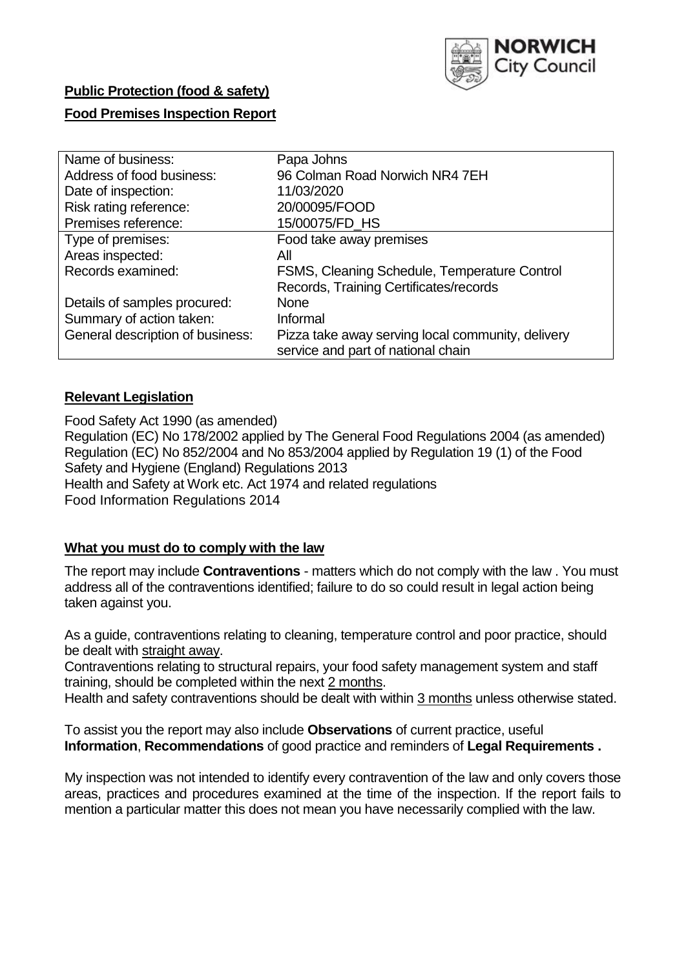

# **Public Protection (food & safety) Food Premises Inspection Report**

| Papa Johns                                        |
|---------------------------------------------------|
| 96 Colman Road Norwich NR4 7EH                    |
| 11/03/2020                                        |
| 20/00095/FOOD                                     |
| 15/00075/FD_HS                                    |
| Food take away premises                           |
| All                                               |
| FSMS, Cleaning Schedule, Temperature Control      |
| Records, Training Certificates/records            |
| <b>None</b>                                       |
| Informal                                          |
| Pizza take away serving local community, delivery |
| service and part of national chain                |
|                                                   |

## **Relevant Legislation**

Food Safety Act 1990 (as amended) Regulation (EC) No 178/2002 applied by The General Food Regulations 2004 (as amended) Regulation (EC) No 852/2004 and No 853/2004 applied by Regulation 19 (1) of the Food Safety and Hygiene (England) Regulations 2013 Health and Safety at Work etc. Act 1974 and related regulations Food Information Regulations 2014

## **What you must do to comply with the law**

The report may include **Contraventions** - matters which do not comply with the law . You must address all of the contraventions identified; failure to do so could result in legal action being taken against you.

As a guide, contraventions relating to cleaning, temperature control and poor practice, should be dealt with straight away.

Contraventions relating to structural repairs, your food safety management system and staff training, should be completed within the next 2 months.

Health and safety contraventions should be dealt with within 3 months unless otherwise stated.

To assist you the report may also include **Observations** of current practice, useful **Information**, **Recommendations** of good practice and reminders of **Legal Requirements .**

My inspection was not intended to identify every contravention of the law and only covers those areas, practices and procedures examined at the time of the inspection. If the report fails to mention a particular matter this does not mean you have necessarily complied with the law.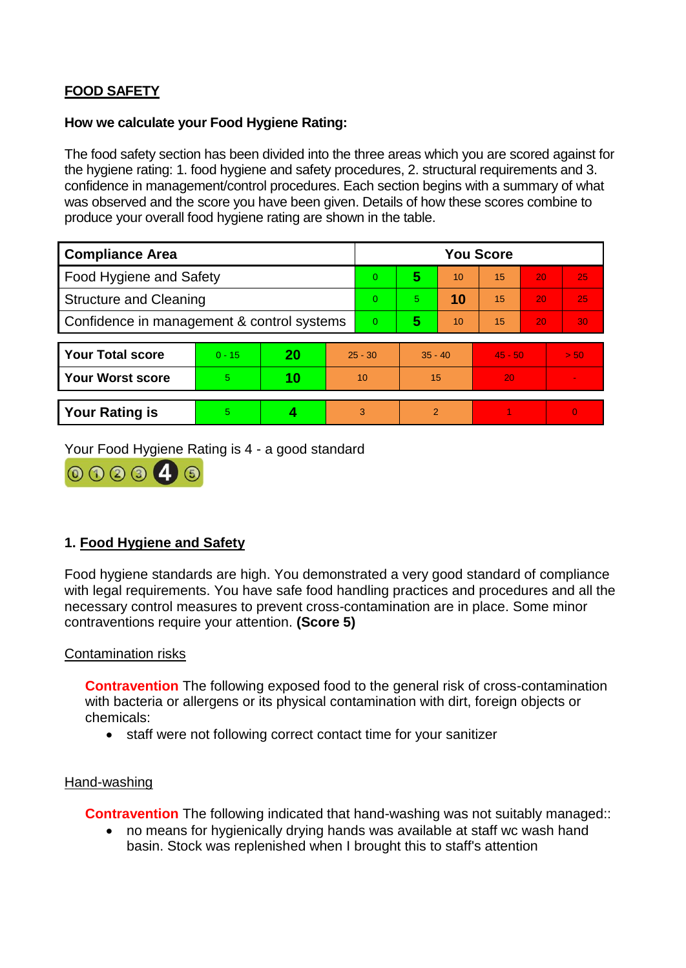## **FOOD SAFETY**

#### **How we calculate your Food Hygiene Rating:**

The food safety section has been divided into the three areas which you are scored against for the hygiene rating: 1. food hygiene and safety procedures, 2. structural requirements and 3. confidence in management/control procedures. Each section begins with a summary of what was observed and the score you have been given. Details of how these scores combine to produce your overall food hygiene rating are shown in the table.

| <b>Compliance Area</b>                     |          |    |           | <b>You Score</b> |                |    |           |    |                |  |
|--------------------------------------------|----------|----|-----------|------------------|----------------|----|-----------|----|----------------|--|
| Food Hygiene and Safety                    |          |    |           | $\Omega$         | 5              | 10 | 15        | 20 | 25             |  |
| <b>Structure and Cleaning</b>              |          |    |           | $\Omega$         | 5.             | 10 | 15        | 20 | 25             |  |
| Confidence in management & control systems |          |    |           | $\Omega$         | 5              | 10 | 15        | 20 | 30             |  |
|                                            |          |    |           |                  |                |    |           |    |                |  |
| <b>Your Total score</b>                    | $0 - 15$ | 20 | $25 - 30$ |                  | $35 - 40$      |    | $45 - 50$ |    | > 50           |  |
| <b>Your Worst score</b>                    | 5        | 10 | 10        |                  | 15             |    | 20        |    | $\blacksquare$ |  |
|                                            |          |    |           |                  |                |    |           |    |                |  |
| <b>Your Rating is</b>                      | 5        |    |           | 3                | $\overline{2}$ |    |           |    | $\Omega$       |  |

Your Food Hygiene Rating is 4 - a good standard



## **1. Food Hygiene and Safety**

Food hygiene standards are high. You demonstrated a very good standard of compliance with legal requirements. You have safe food handling practices and procedures and all the necessary control measures to prevent cross-contamination are in place. Some minor contraventions require your attention. **(Score 5)**

#### Contamination risks

**Contravention** The following exposed food to the general risk of cross-contamination with bacteria or allergens or its physical contamination with dirt, foreign objects or chemicals:

• staff were not following correct contact time for your sanitizer

#### Hand-washing

**Contravention** The following indicated that hand-washing was not suitably managed::

 no means for hygienically drying hands was available at staff wc wash hand basin. Stock was replenished when I brought this to staff's attention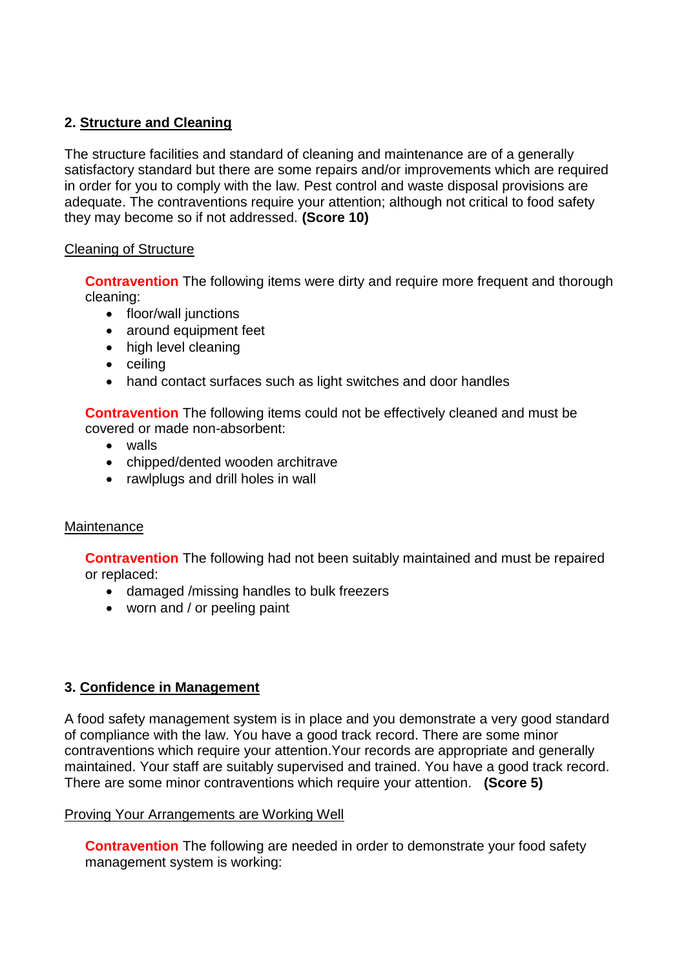### **2. Structure and Cleaning**

The structure facilities and standard of cleaning and maintenance are of a generally satisfactory standard but there are some repairs and/or improvements which are required in order for you to comply with the law. Pest control and waste disposal provisions are adequate. The contraventions require your attention; although not critical to food safety they may become so if not addressed. **(Score 10)**

#### Cleaning of Structure

**Contravention** The following items were dirty and require more frequent and thorough cleaning:

- floor/wall junctions
- around equipment feet
- high level cleaning
- $\bullet$  ceiling
- hand contact surfaces such as light switches and door handles

**Contravention** The following items could not be effectively cleaned and must be covered or made non-absorbent:

- walls
- chipped/dented wooden architrave
- rawlplugs and drill holes in wall

#### **Maintenance**

**Contravention** The following had not been suitably maintained and must be repaired or replaced:

- damaged /missing handles to bulk freezers
- worn and / or peeling paint

#### **3. Confidence in Management**

A food safety management system is in place and you demonstrate a very good standard of compliance with the law. You have a good track record. There are some minor contraventions which require your attention.Your records are appropriate and generally maintained. Your staff are suitably supervised and trained. You have a good track record. There are some minor contraventions which require your attention. **(Score 5)**

#### Proving Your Arrangements are Working Well

**Contravention** The following are needed in order to demonstrate your food safety management system is working: